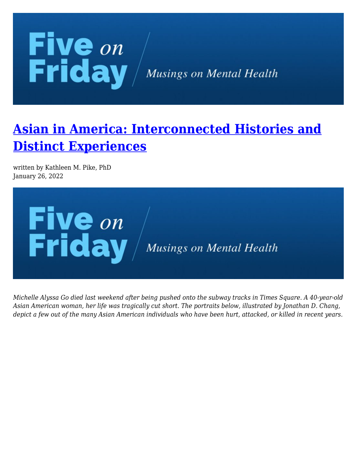

## **[Asian in America: Interconnected Histories and](https://kathypikephd.com/five-on-friday/asian-in-america-interconnected-histories-and-distinct-experiences/) [Distinct Experiences](https://kathypikephd.com/five-on-friday/asian-in-america-interconnected-histories-and-distinct-experiences/)**

written by Kathleen M. Pike, PhD January 26, 2022



*Michelle Alyssa Go died last weekend after being pushed onto the subway tracks in Times Square. A 40-year-old Asian American woman, her life was tragically cut short. The portraits below, illustrated by Jonathan D. Chang, depict a few out of the many Asian American individuals who have been hurt, attacked, or killed in recent years.*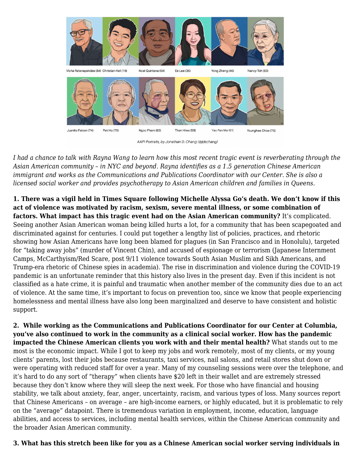

AAPI Portraits, by Jonathan D. Chang (@jdschang)

*I had a chance to talk with Rayna Wang to learn how this most recent tragic event is reverberating through the Asian American community – in NYC and beyond. Rayna identifies as a 1.5 generation Chinese American immigrant and works as the Communications and Publications Coordinator with our Center. She is also a licensed social worker and provides psychotherapy to Asian American children and families in Queens.*

**1. There was a vigil held in Times Square following Michelle Alyssa Go's death. We don't know if this act of violence was motivated by racism, sexism, severe mental illness, or some combination of factors. What impact has this tragic event had on the Asian American community?** It's complicated. Seeing another Asian American woman being killed hurts a lot, for a community that has been scapegoated and discriminated against for centuries. I could put together a lengthy list of policies, practices, and rhetoric showing how Asian Americans have long been blamed for plagues (in San Francisco and in Honolulu), targeted for "taking away jobs" (murder of Vincent Chin), and accused of espionage or terrorism (Japanese Internment Camps, McCarthyism/Red Scare, post 9/11 violence towards South Asian Muslim and Sikh Americans, and Trump-era rhetoric of Chinese spies in academia). The rise in discrimination and violence during the COVID-19 pandemic is an unfortunate reminder that this history also lives in the present day. Even if this incident is not classified as a hate crime, it is painful and traumatic when another member of the community dies due to an act of violence. At the same time, it's important to focus on prevention too, since we know that people experiencing homelessness and mental illness have also long been marginalized and deserve to have consistent and holistic support.

**2. While working as the Communications and Publications Coordinator for our Center at Columbia, you've also continued to work in the community as a clinical social worker. How has the pandemic impacted the Chinese American clients you work with and their mental health?** What stands out to me most is the economic impact. While I got to keep my jobs and work remotely, most of my clients, or my young clients' parents, lost their jobs because restaurants, taxi services, nail salons, and retail stores shut down or were operating with reduced staff for over a year. Many of my counseling sessions were over the telephone, and it's hard to do any sort of "therapy" when clients have \$20 left in their wallet and are extremely stressed because they don't know where they will sleep the next week. For those who have financial and housing stability, we talk about anxiety, fear, anger, uncertainty, racism, and various types of loss. Many sources report that Chinese Americans – on average – are high-income earners, or highly educated, but it is problematic to rely on the "average" datapoint. There is tremendous variation in employment, income, education, language abilities, and access to services, including mental health services, within the Chinese American community and the broader Asian American community.

## **3. What has this stretch been like for you as a Chinese American social worker serving individuals in**